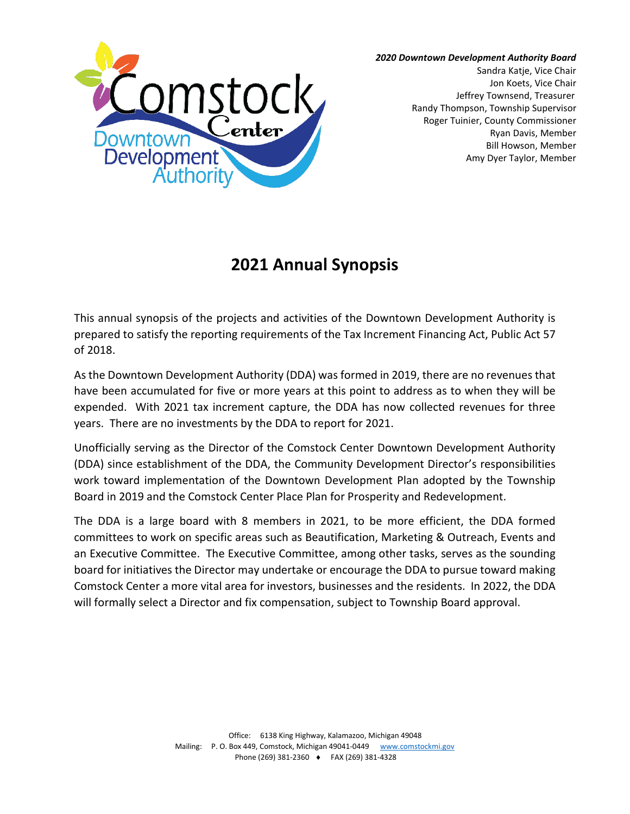

*2020 Downtown Development Authority Board*

Sandra Katje, Vice Chair Jon Koets, Vice Chair Jeffrey Townsend, Treasurer Randy Thompson, Township Supervisor Roger Tuinier, County Commissioner Ryan Davis, Member Bill Howson, Member Amy Dyer Taylor, Member

## **2021 Annual Synopsis**

This annual synopsis of the projects and activities of the Downtown Development Authority is prepared to satisfy the reporting requirements of the Tax Increment Financing Act, Public Act 57 of 2018.

As the Downtown Development Authority (DDA) was formed in 2019, there are no revenues that have been accumulated for five or more years at this point to address as to when they will be expended. With 2021 tax increment capture, the DDA has now collected revenues for three years. There are no investments by the DDA to report for 2021.

Unofficially serving as the Director of the Comstock Center Downtown Development Authority (DDA) since establishment of the DDA, the Community Development Director's responsibilities work toward implementation of the Downtown Development Plan adopted by the Township Board in 2019 and the Comstock Center Place Plan for Prosperity and Redevelopment.

The DDA is a large board with 8 members in 2021, to be more efficient, the DDA formed committees to work on specific areas such as Beautification, Marketing & Outreach, Events and an Executive Committee. The Executive Committee, among other tasks, serves as the sounding board for initiatives the Director may undertake or encourage the DDA to pursue toward making Comstock Center a more vital area for investors, businesses and the residents. In 2022, the DDA will formally select a Director and fix compensation, subject to Township Board approval.